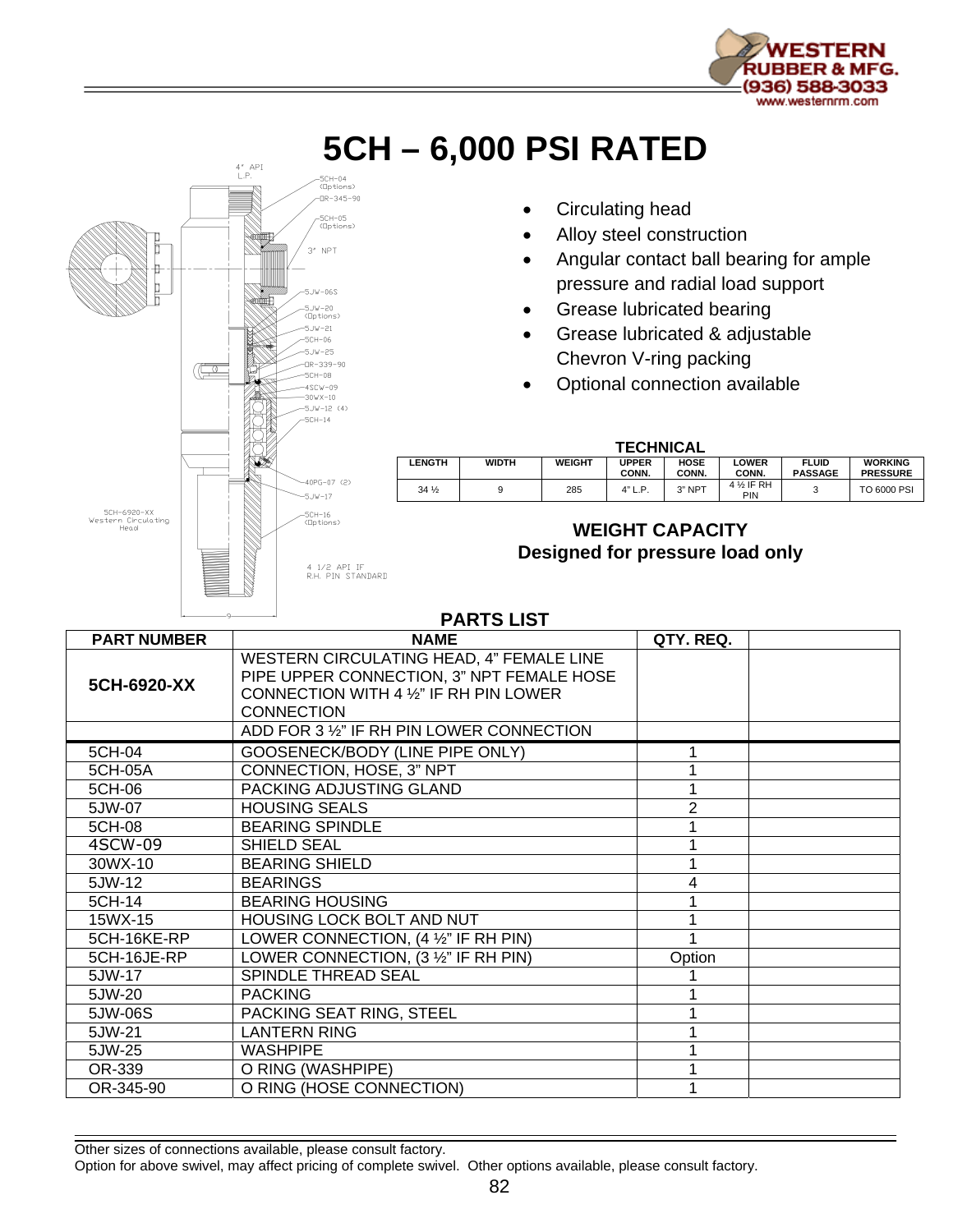

## **5CH – 6,000 PSI RATED**



- Circulating head
- Alloy steel construction
- Angular contact ball bearing for ample pressure and radial load support
- Grease lubricated bearing
- Grease lubricated & adjustable Chevron V-ring packing
- Optional connection available

**TECHNICAL** 

| .               |              |               |                       |                      |                               |                                |                                   |  |  |
|-----------------|--------------|---------------|-----------------------|----------------------|-------------------------------|--------------------------------|-----------------------------------|--|--|
| LENGTH          | <b>WIDTH</b> | <b>WEIGHT</b> | <b>UPPER</b><br>CONN. | <b>HOSE</b><br>CONN. | ∟OWER<br>CONN.                | <b>FLUID</b><br><b>PASSAGE</b> | <b>WORKING</b><br><b>PRESSURE</b> |  |  |
| $34\frac{1}{2}$ |              | 285           | 4" L.P.               | 3" NPT               | 4 <sup>1/2</sup> IF RH<br>PIN |                                | TO 6000 PSI                       |  |  |

## **WEIGHT CAPACITY Designed for pressure load only**

## **PARTS LIST**

| <b>PART NUMBER</b> | <b>NAME</b>                                                                                                                                          | QTY. REQ.      |  |
|--------------------|------------------------------------------------------------------------------------------------------------------------------------------------------|----------------|--|
| 5CH-6920-XX        | WESTERN CIRCULATING HEAD, 4" FEMALE LINE<br>PIPE UPPER CONNECTION, 3" NPT FEMALE HOSE<br>CONNECTION WITH 4 1/2" IF RH PIN LOWER<br><b>CONNECTION</b> |                |  |
|                    | ADD FOR 3 1/2" IF RH PIN LOWER CONNECTION                                                                                                            |                |  |
| 5CH-04             | GOOSENECK/BODY (LINE PIPE ONLY)                                                                                                                      |                |  |
| 5CH-05A            | CONNECTION, HOSE, 3" NPT                                                                                                                             |                |  |
| 5CH-06             | PACKING ADJUSTING GLAND                                                                                                                              |                |  |
| 5JW-07             | <b>HOUSING SEALS</b>                                                                                                                                 | $\overline{2}$ |  |
| 5CH-08             | <b>BEARING SPINDLE</b>                                                                                                                               |                |  |
| 4SCW-09            | <b>SHIELD SEAL</b>                                                                                                                                   |                |  |
| 30WX-10            | <b>BEARING SHIELD</b>                                                                                                                                |                |  |
| 5JW-12             | <b>BEARINGS</b>                                                                                                                                      | 4              |  |
| 5CH-14             | <b>BEARING HOUSING</b>                                                                                                                               |                |  |
| 15WX-15            | HOUSING LOCK BOLT AND NUT                                                                                                                            |                |  |
| 5CH-16KE-RP        | LOWER CONNECTION, (4 1/2" IF RH PIN)                                                                                                                 |                |  |
| 5CH-16JE-RP        | LOWER CONNECTION, (3 1/2" IF RH PIN)                                                                                                                 | Option         |  |
| 5JW-17             | SPINDLE THREAD SEAL                                                                                                                                  |                |  |
| 5JW-20             | <b>PACKING</b>                                                                                                                                       |                |  |
| 5JW-06S            | PACKING SEAT RING, STEEL                                                                                                                             |                |  |
| 5JW-21             | <b>LANTERN RING</b>                                                                                                                                  |                |  |
| 5JW-25             | <b>WASHPIPE</b>                                                                                                                                      |                |  |
| OR-339             | O RING (WASHPIPE)                                                                                                                                    |                |  |
| OR-345-90          | O RING (HOSE CONNECTION)                                                                                                                             |                |  |

Other sizes of connections available, please consult factory.

Option for above swivel, may affect pricing of complete swivel. Other options available, please consult factory.